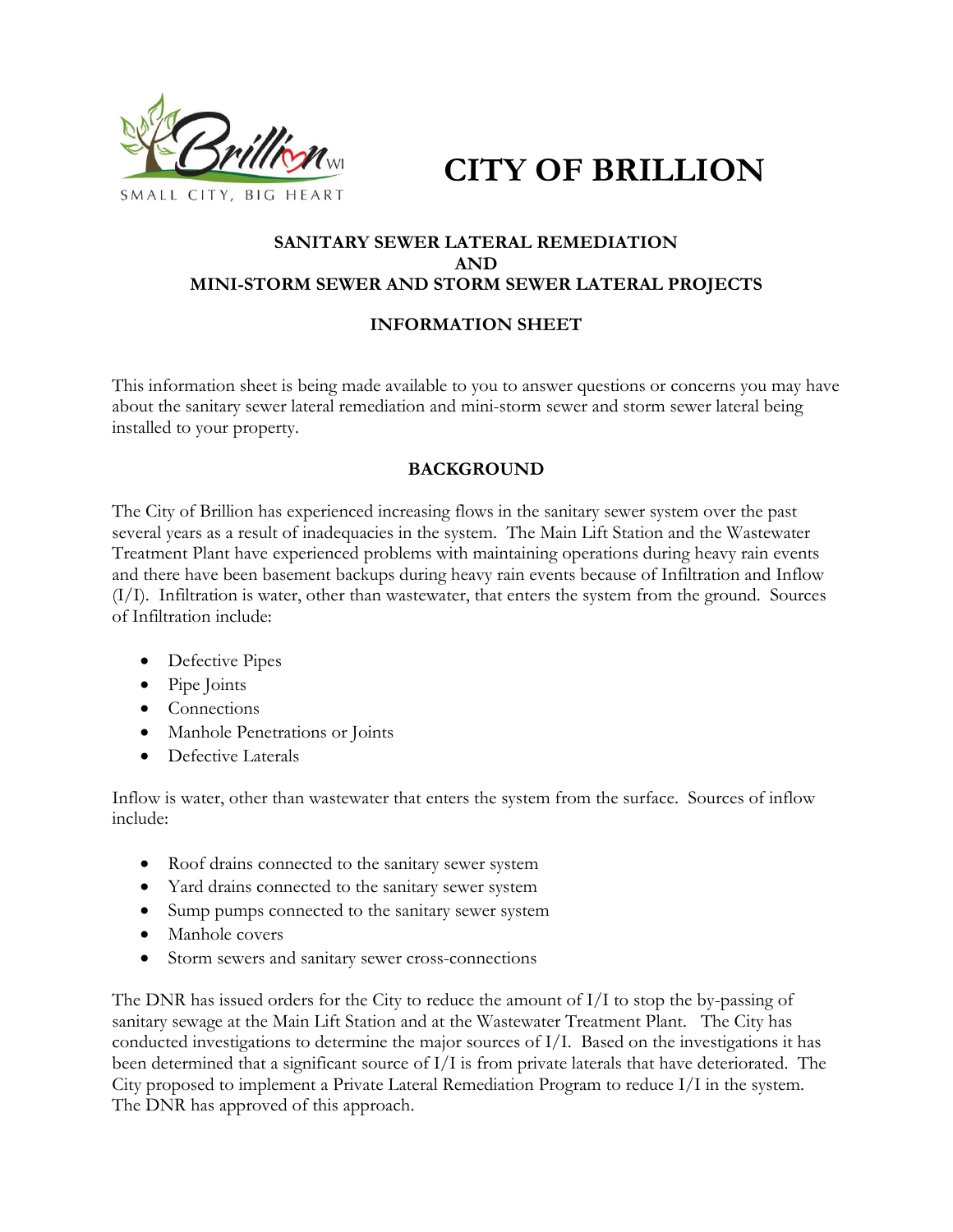

**CITY OF BRILLION**

# **SANITARY SEWER LATERAL REMEDIATION AND MINI-STORM SEWER AND STORM SEWER LATERAL PROJECTS**

## **INFORMATION SHEET**

This information sheet is being made available to you to answer questions or concerns you may have about the sanitary sewer lateral remediation and mini-storm sewer and storm sewer lateral being installed to your property.

## **BACKGROUND**

The City of Brillion has experienced increasing flows in the sanitary sewer system over the past several years as a result of inadequacies in the system. The Main Lift Station and the Wastewater Treatment Plant have experienced problems with maintaining operations during heavy rain events and there have been basement backups during heavy rain events because of Infiltration and Inflow  $(I/I)$ . Infiltration is water, other than wastewater, that enters the system from the ground. Sources of Infiltration include:

- Defective Pipes
- Pipe Joints
- Connections
- Manhole Penetrations or Joints
- Defective Laterals

Inflow is water, other than wastewater that enters the system from the surface. Sources of inflow include:

- Roof drains connected to the sanitary sewer system
- Yard drains connected to the sanitary sewer system
- Sump pumps connected to the sanitary sewer system
- Manhole covers
- Storm sewers and sanitary sewer cross-connections

The DNR has issued orders for the City to reduce the amount of I/I to stop the by-passing of sanitary sewage at the Main Lift Station and at the Wastewater Treatment Plant. The City has conducted investigations to determine the major sources of I/I. Based on the investigations it has been determined that a significant source of I/I is from private laterals that have deteriorated. The City proposed to implement a Private Lateral Remediation Program to reduce  $I/I$  in the system. The DNR has approved of this approach.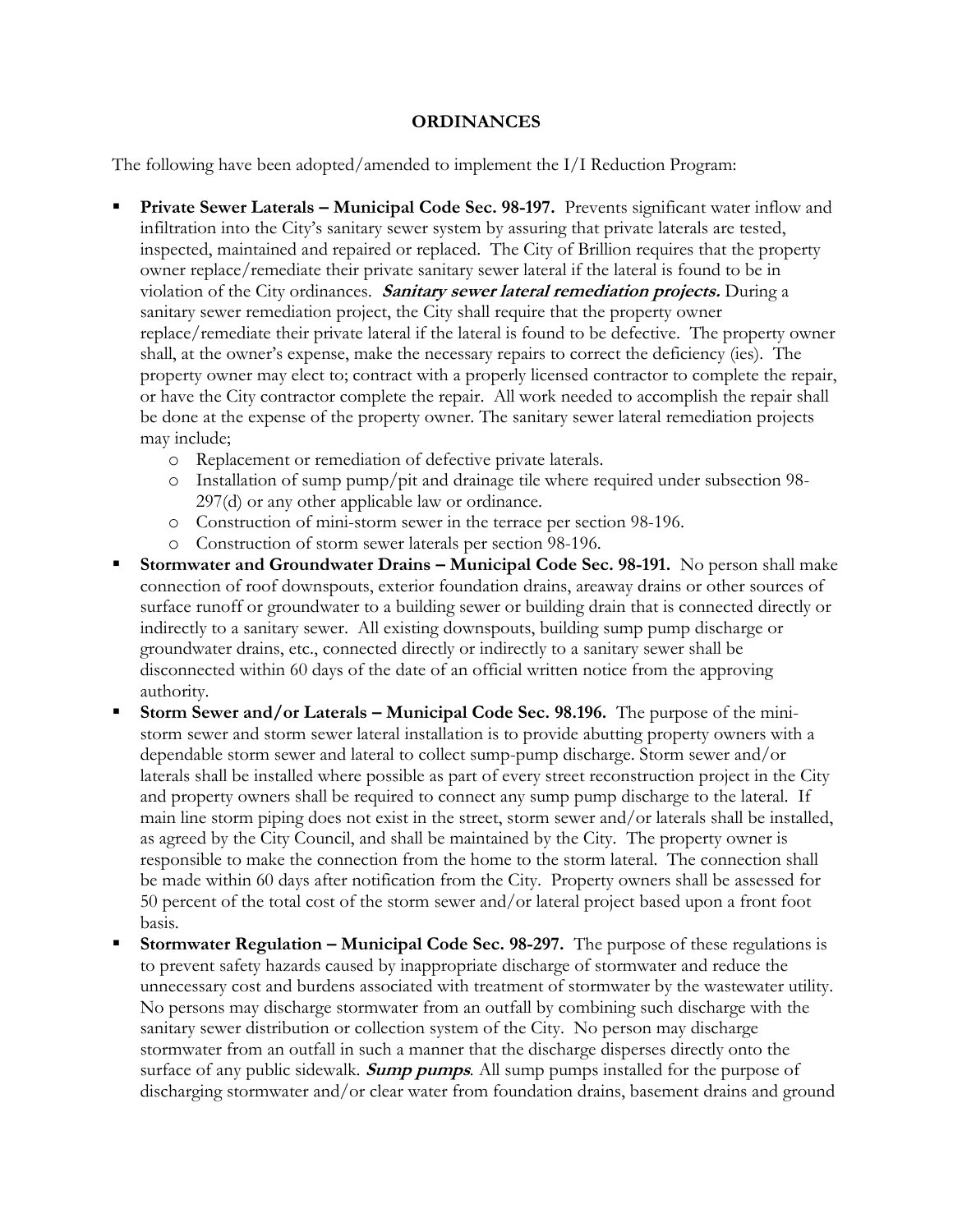#### **ORDINANCES**

The following have been adopted/amended to implement the I/I Reduction Program:

- **Private Sewer Laterals – Municipal Code Sec. 98-197.** Prevents significant water inflow and infiltration into the City's sanitary sewer system by assuring that private laterals are tested, inspected, maintained and repaired or replaced. The City of Brillion requires that the property owner replace/remediate their private sanitary sewer lateral if the lateral is found to be in violation of the City ordinances. **Sanitary sewer lateral remediation projects.** During a sanitary sewer remediation project, the City shall require that the property owner replace/remediate their private lateral if the lateral is found to be defective. The property owner shall, at the owner's expense, make the necessary repairs to correct the deficiency (ies). The property owner may elect to; contract with a properly licensed contractor to complete the repair, or have the City contractor complete the repair. All work needed to accomplish the repair shall be done at the expense of the property owner. The sanitary sewer lateral remediation projects may include;
	- o Replacement or remediation of defective private laterals.
	- o Installation of sump pump/pit and drainage tile where required under subsection 98- 297(d) or any other applicable law or ordinance.
	- o Construction of mini-storm sewer in the terrace per section 98-196.
	- o Construction of storm sewer laterals per section 98-196.
- **Stormwater and Groundwater Drains – Municipal Code Sec. 98-191.** No person shall make connection of roof downspouts, exterior foundation drains, areaway drains or other sources of surface runoff or groundwater to a building sewer or building drain that is connected directly or indirectly to a sanitary sewer. All existing downspouts, building sump pump discharge or groundwater drains, etc., connected directly or indirectly to a sanitary sewer shall be disconnected within 60 days of the date of an official written notice from the approving authority.
- **Storm Sewer and/or Laterals – Municipal Code Sec. 98.196.** The purpose of the ministorm sewer and storm sewer lateral installation is to provide abutting property owners with a dependable storm sewer and lateral to collect sump-pump discharge. Storm sewer and/or laterals shall be installed where possible as part of every street reconstruction project in the City and property owners shall be required to connect any sump pump discharge to the lateral. If main line storm piping does not exist in the street, storm sewer and/or laterals shall be installed, as agreed by the City Council, and shall be maintained by the City. The property owner is responsible to make the connection from the home to the storm lateral. The connection shall be made within 60 days after notification from the City. Property owners shall be assessed for 50 percent of the total cost of the storm sewer and/or lateral project based upon a front foot basis.
- **Stormwater Regulation Municipal Code Sec. 98-297.** The purpose of these regulations is to prevent safety hazards caused by inappropriate discharge of stormwater and reduce the unnecessary cost and burdens associated with treatment of stormwater by the wastewater utility. No persons may discharge stormwater from an outfall by combining such discharge with the sanitary sewer distribution or collection system of the City. No person may discharge stormwater from an outfall in such a manner that the discharge disperses directly onto the surface of any public sidewalk. **Sump pumps***.* All sump pumps installed for the purpose of discharging stormwater and/or clear water from foundation drains, basement drains and ground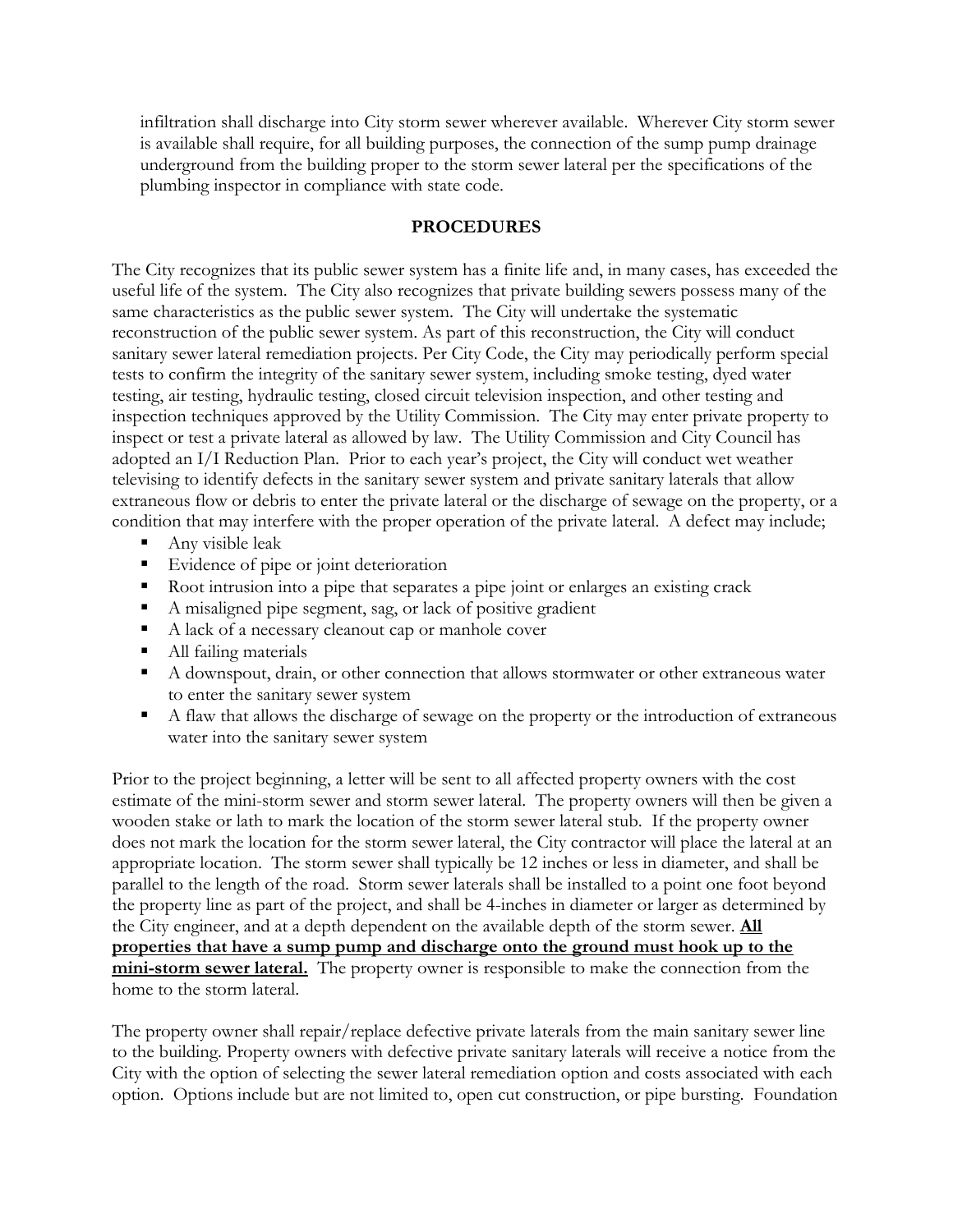infiltration shall discharge into City storm sewer wherever available. Wherever City storm sewer is available shall require, for all building purposes, the connection of the sump pump drainage underground from the building proper to the storm sewer lateral per the specifications of the plumbing inspector in compliance with state code.

#### **PROCEDURES**

The City recognizes that its public sewer system has a finite life and, in many cases, has exceeded the useful life of the system. The City also recognizes that private building sewers possess many of the same characteristics as the public sewer system. The City will undertake the systematic reconstruction of the public sewer system. As part of this reconstruction, the City will conduct sanitary sewer lateral remediation projects. Per City Code, the City may periodically perform special tests to confirm the integrity of the sanitary sewer system, including smoke testing, dyed water testing, air testing, hydraulic testing, closed circuit television inspection, and other testing and inspection techniques approved by the Utility Commission. The City may enter private property to inspect or test a private lateral as allowed by law. The Utility Commission and City Council has adopted an I/I Reduction Plan. Prior to each year's project, the City will conduct wet weather televising to identify defects in the sanitary sewer system and private sanitary laterals that allow extraneous flow or debris to enter the private lateral or the discharge of sewage on the property, or a condition that may interfere with the proper operation of the private lateral. A defect may include;

- Any visible leak
- **Evidence of pipe or joint deterioration**
- Root intrusion into a pipe that separates a pipe joint or enlarges an existing crack
- A misaligned pipe segment, sag, or lack of positive gradient
- A lack of a necessary cleanout cap or manhole cover
- All failing materials
- A downspout, drain, or other connection that allows stormwater or other extraneous water to enter the sanitary sewer system
- A flaw that allows the discharge of sewage on the property or the introduction of extraneous water into the sanitary sewer system

Prior to the project beginning, a letter will be sent to all affected property owners with the cost estimate of the mini-storm sewer and storm sewer lateral. The property owners will then be given a wooden stake or lath to mark the location of the storm sewer lateral stub. If the property owner does not mark the location for the storm sewer lateral, the City contractor will place the lateral at an appropriate location. The storm sewer shall typically be 12 inches or less in diameter, and shall be parallel to the length of the road. Storm sewer laterals shall be installed to a point one foot beyond the property line as part of the project, and shall be 4-inches in diameter or larger as determined by the City engineer, and at a depth dependent on the available depth of the storm sewer. **All properties that have a sump pump and discharge onto the ground must hook up to the mini-storm sewer lateral.** The property owner is responsible to make the connection from the home to the storm lateral.

The property owner shall repair/replace defective private laterals from the main sanitary sewer line to the building. Property owners with defective private sanitary laterals will receive a notice from the City with the option of selecting the sewer lateral remediation option and costs associated with each option. Options include but are not limited to, open cut construction, or pipe bursting. Foundation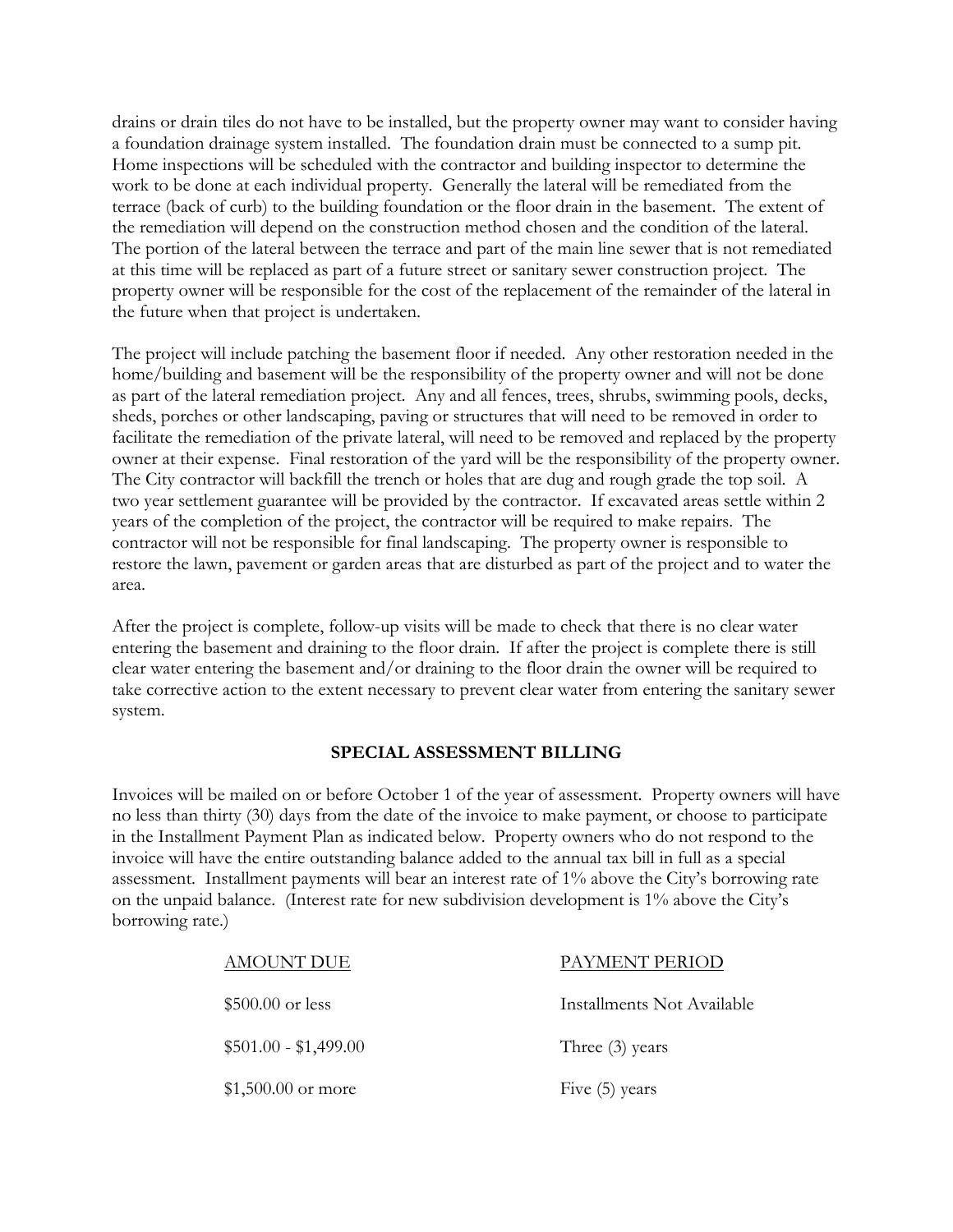drains or drain tiles do not have to be installed, but the property owner may want to consider having a foundation drainage system installed. The foundation drain must be connected to a sump pit. Home inspections will be scheduled with the contractor and building inspector to determine the work to be done at each individual property. Generally the lateral will be remediated from the terrace (back of curb) to the building foundation or the floor drain in the basement. The extent of the remediation will depend on the construction method chosen and the condition of the lateral. The portion of the lateral between the terrace and part of the main line sewer that is not remediated at this time will be replaced as part of a future street or sanitary sewer construction project. The property owner will be responsible for the cost of the replacement of the remainder of the lateral in the future when that project is undertaken.

The project will include patching the basement floor if needed. Any other restoration needed in the home/building and basement will be the responsibility of the property owner and will not be done as part of the lateral remediation project. Any and all fences, trees, shrubs, swimming pools, decks, sheds, porches or other landscaping, paving or structures that will need to be removed in order to facilitate the remediation of the private lateral, will need to be removed and replaced by the property owner at their expense. Final restoration of the yard will be the responsibility of the property owner. The City contractor will backfill the trench or holes that are dug and rough grade the top soil. A two year settlement guarantee will be provided by the contractor. If excavated areas settle within 2 years of the completion of the project, the contractor will be required to make repairs. The contractor will not be responsible for final landscaping. The property owner is responsible to restore the lawn, pavement or garden areas that are disturbed as part of the project and to water the area.

After the project is complete, follow-up visits will be made to check that there is no clear water entering the basement and draining to the floor drain. If after the project is complete there is still clear water entering the basement and/or draining to the floor drain the owner will be required to take corrective action to the extent necessary to prevent clear water from entering the sanitary sewer system.

### **SPECIAL ASSESSMENT BILLING**

Invoices will be mailed on or before October 1 of the year of assessment. Property owners will have no less than thirty (30) days from the date of the invoice to make payment, or choose to participate in the Installment Payment Plan as indicated below. Property owners who do not respond to the invoice will have the entire outstanding balance added to the annual tax bill in full as a special assessment. Installment payments will bear an interest rate of 1% above the City's borrowing rate on the unpaid balance. (Interest rate for new subdivision development is 1% above the City's borrowing rate.)

| <b>AMOUNT DUE</b>     | PAYMENT PERIOD             |
|-----------------------|----------------------------|
| $$500.00$ or less     | Installments Not Available |
| $$501.00 - $1,499.00$ | Three $(3)$ years          |
| $$1,500.00$ or more   | Five (5) years             |